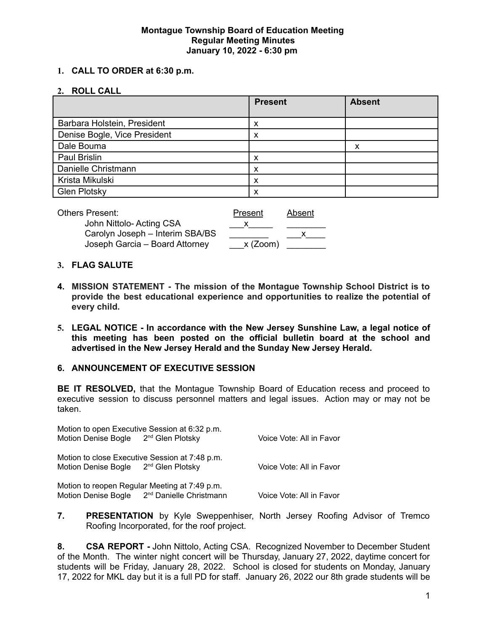#### **Montague Township Board of Education Meeting Regular Meeting Minutes January 10, 2022 - 6:30 pm**

#### **1. CALL TO ORDER at 6:30 p.m.**

#### **2. ROLL CALL**

|                              | <b>Present</b> | <b>Absent</b> |
|------------------------------|----------------|---------------|
| Barbara Holstein, President  | х              |               |
| Denise Bogle, Vice President | x              |               |
| Dale Bouma                   |                | х             |
| Paul Brislin                 | x              |               |
| Danielle Christmann          | x              |               |
| Krista Mikulski              | х              |               |
| <b>Glen Plotsky</b>          | x              |               |

| Others Present:                 | Present    | Absent |
|---------------------------------|------------|--------|
| John Nittolo- Acting CSA        |            |        |
| Carolyn Joseph - Interim SBA/BS |            |        |
| Joseph Garcia - Board Attorney  | $x$ (Zoom) |        |

#### **3. FLAG SALUTE**

- **4. MISSION STATEMENT - The mission of the Montague Township School District is to provide the best educational experience and opportunities to realize the potential of every child.**
- **5. LEGAL NOTICE - In accordance with the New Jersey Sunshine Law, a legal notice of this meeting has been posted on the official bulletin board at the school and advertised in the New Jersey Herald and the Sunday New Jersey Herald.**

#### **6. ANNOUNCEMENT OF EXECUTIVE SESSION**

**BE IT RESOLVED,** that the Montague Township Board of Education recess and proceed to executive session to discuss personnel matters and legal issues. Action may or may not be taken.

| Motion to open Executive Session at 6:32 p.m.    |                                                         |                          |
|--------------------------------------------------|---------------------------------------------------------|--------------------------|
| Motion Denise Bogle 2 <sup>nd</sup> Glen Plotsky |                                                         | Voice Vote: All in Favor |
| Motion to close Executive Session at 7:48 p.m.   |                                                         |                          |
| Motion Denise Bogle 2 <sup>nd</sup> Glen Plotsky |                                                         | Voice Vote: All in Favor |
| Motion to reopen Regular Meeting at 7:49 p.m.    |                                                         |                          |
|                                                  | Motion Denise Bogle 2 <sup>nd</sup> Danielle Christmann | Voice Vote: All in Favor |

**7. PRESENTATION** by Kyle Sweppenhiser, North Jersey Roofing Advisor of Tremco Roofing Incorporated, for the roof project.

**8. CSA REPORT -** John Nittolo, Acting CSA. Recognized November to December Student of the Month. The winter night concert will be Thursday, January 27, 2022, daytime concert for students will be Friday, January 28, 2022. School is closed for students on Monday, January 17, 2022 for MKL day but it is a full PD for staff. January 26, 2022 our 8th grade students will be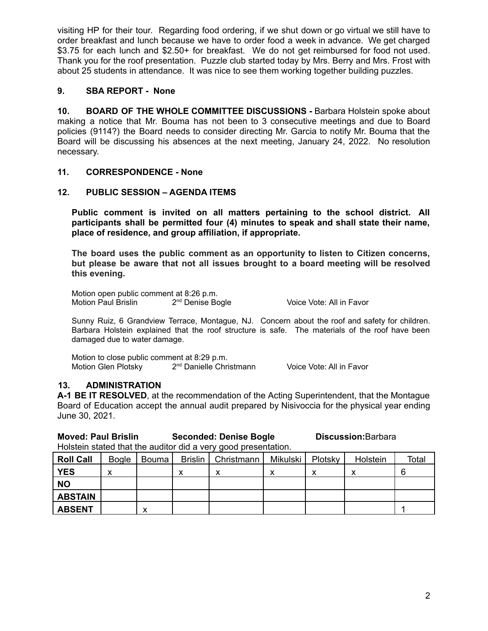visiting HP for their tour. Regarding food ordering, if we shut down or go virtual we still have to order breakfast and lunch because we have to order food a week in advance. We get charged \$3.75 for each lunch and \$2.50+ for breakfast. We do not get reimbursed for food not used. Thank you for the roof presentation. Puzzle club started today by Mrs. Berry and Mrs. Frost with about 25 students in attendance. It was nice to see them working together building puzzles.

## **9. SBA REPORT - None**

**10. BOARD OF THE WHOLE COMMITTEE DISCUSSIONS -** Barbara Holstein spoke about making a notice that Mr. Bouma has not been to 3 consecutive meetings and due to Board policies (9114?) the Board needs to consider directing Mr. Garcia to notify Mr. Bouma that the Board will be discussing his absences at the next meeting, January 24, 2022. No resolution necessary.

### **11. CORRESPONDENCE - None**

#### **12. PUBLIC SESSION – AGENDA ITEMS**

**Public comment is invited on all matters pertaining to the school district. All participants shall be permitted four (4) minutes to speak and shall state their name, place of residence, and group affiliation, if appropriate.**

**The board uses the public comment as an opportunity to listen to Citizen concerns, but please be aware that not all issues brought to a board meeting will be resolved this evening.**

Motion open public comment at 8:26 p.m.<br>Motion Paul Brislin 2<sup>nd</sup> Denise Bogle Motion Paul Brislin 2

Voice Vote: All in Favor

Sunny Ruiz, 6 Grandview Terrace, Montague, NJ. Concern about the roof and safety for children. Barbara Holstein explained that the roof structure is safe. The materials of the roof have been damaged due to water damage.

Motion to close public comment at 8:29 p.m. Motion Glen Plotsky 2<sup>nd</sup> Danielle Christmann

Voice Vote: All in Favor

# **13. ADMINISTRATION**

**A-1 BE IT RESOLVED**, at the recommendation of the Acting Superintendent, that the Montague Board of Education accept the annual audit prepared by Nisivoccia for the physical year ending June 30, 2021.

**Moved: Paul Brislin Seconded: Denise Bogle Discussion:**Barbara

Holstein stated that the auditor did a very good presentation.

| <b>Roll Call</b> | <b>Bogle</b>                  | Bouma | Brislin   Christmann | Mikulski I | Plotsky | Holstein | Total |
|------------------|-------------------------------|-------|----------------------|------------|---------|----------|-------|
| <b>YES</b>       | v<br>$\overline{\phantom{a}}$ |       | v<br>́               |            |         |          | 6     |
| <b>NO</b>        |                               |       |                      |            |         |          |       |
| <b>ABSTAIN</b>   |                               |       |                      |            |         |          |       |
| <b>ABSENT</b>    |                               |       |                      |            |         |          |       |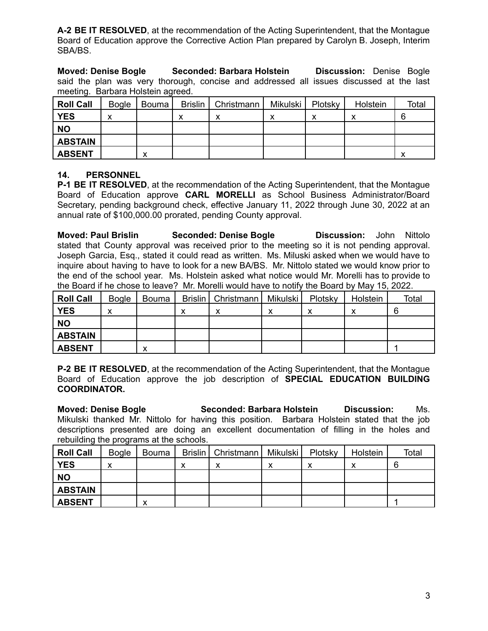**A-2 BE IT RESOLVED**, at the recommendation of the Acting Superintendent, that the Montague Board of Education approve the Corrective Action Plan prepared by Carolyn B. Joseph, Interim SBA/BS.

**Moved: Denise Bogle Seconded: Barbara Holstein Discussion:** Denise Bogle said the plan was very thorough, concise and addressed all issues discussed at the last meeting. Barbara Holstein agreed.

| <b>Roll Call</b> | <b>Bogle</b> | Bouma | Brislin   Christmann | Mikulski | Plotsky | Holstein | Total |
|------------------|--------------|-------|----------------------|----------|---------|----------|-------|
| <b>YES</b>       |              |       |                      |          |         |          | 6     |
| <b>NO</b>        |              |       |                      |          |         |          |       |
| <b>ABSTAIN</b>   |              |       |                      |          |         |          |       |
| <b>ABSENT</b>    |              | v     |                      |          |         |          |       |

#### **14. PERSONNEL**

**P-1 BE IT RESOLVED**, at the recommendation of the Acting Superintendent, that the Montague Board of Education approve **CARL MORELLI** as School Business Administrator/Board Secretary, pending background check, effective January 11, 2022 through June 30, 2022 at an annual rate of \$100,000.00 prorated, pending County approval.

**Moved: Paul Brislin Seconded: Denise Bogle Discussion:** John Nittolo stated that County approval was received prior to the meeting so it is not pending approval. Joseph Garcia, Esq., stated it could read as written. Ms. Miluski asked when we would have to inquire about having to have to look for a new BA/BS. Mr. Nittolo stated we would know prior to the end of the school year. Ms. Holstein asked what notice would Mr. Morelli has to provide to the Board if he chose to leave? Mr. Morelli would have to notify the Board by May 15, 2022.

| <b>Roll Call</b> | <b>Bogle</b> | Bouma | Brislin   Christmann | Mikulski | Plotsky | Holstein | Total |
|------------------|--------------|-------|----------------------|----------|---------|----------|-------|
| <b>YES</b>       | ́            |       | v<br>́               | ν<br>́   | ν<br>⋏  | ↗        |       |
| <b>NO</b>        |              |       |                      |          |         |          |       |
| <b>ABSTAIN</b>   |              |       |                      |          |         |          |       |
| <b>ABSENT</b>    |              |       |                      |          |         |          |       |

**P-2 BE IT RESOLVED**, at the recommendation of the Acting Superintendent, that the Montague Board of Education approve the job description of **SPECIAL EDUCATION BUILDING COORDINATOR.**

**Moved: Denise Bogle Seconded: Barbara Holstein Discussion:** Ms. Mikulski thanked Mr. Nittolo for having this position. Barbara Holstein stated that the job descriptions presented are doing an excellent documentation of filling in the holes and rebuilding the programs at the schools.

| Roll Call      | <b>Bogle</b> | Bouma |   | Brislin   Christmann   Mikulski |   | Plotsky | Holstein | Total |
|----------------|--------------|-------|---|---------------------------------|---|---------|----------|-------|
| <b>YES</b>     |              |       | ́ | ́                               | ́ | ⌒       |          |       |
| <b>NO</b>      |              |       |   |                                 |   |         |          |       |
| <b>ABSTAIN</b> |              |       |   |                                 |   |         |          |       |
| <b>ABSENT</b>  |              | v     |   |                                 |   |         |          |       |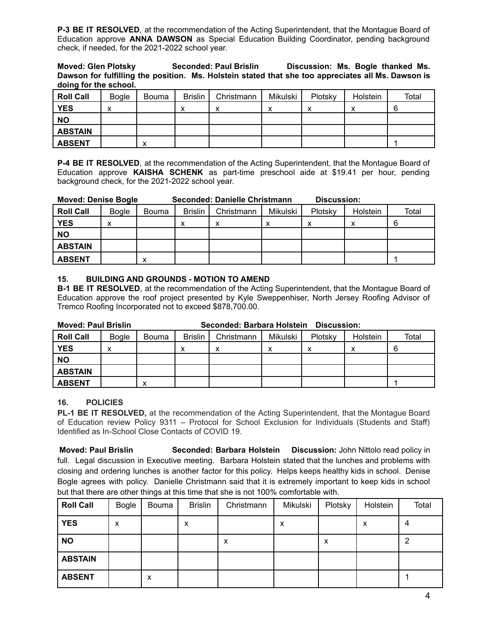**P-3 BE IT RESOLVED**, at the recommendation of the Acting Superintendent, that the Montague Board of Education approve **ANNA DAWSON** as Special Education Building Coordinator, pending background check, if needed, for the 2021-2022 school year.

#### **Moved: Glen Plotsky Seconded: Paul Brislin Discussion: Ms. Bogle thanked Ms. Dawson for fulfilling the position. Ms. Holstein stated that she too appreciates all Ms. Dawson is doing for the school.**

| <b>Roll Call</b> | <b>Bogle</b> | Bouma | <b>Brislin</b> | Christmann | Mikulski | Plotsky | Holstein | Total |
|------------------|--------------|-------|----------------|------------|----------|---------|----------|-------|
| <b>YES</b>       |              |       | ́              | v<br>́     | v<br>́   | v<br>́  |          |       |
| <b>NO</b>        |              |       |                |            |          |         |          |       |
| <b>ABSTAIN</b>   |              |       |                |            |          |         |          |       |
| <b>ABSENT</b>    |              | v     |                |            |          |         |          |       |

**P-4 BE IT RESOLVED**, at the recommendation of the Acting Superintendent, that the Montague Board of Education approve **KAISHA SCHENK** as part-time preschool aide at \$19.41 per hour, pending background check, for the 2021-2022 school year.

| <b>Moved: Denise Bogle</b> |              |       |                | Seconded: Danielle Christmann |          | Discussion: |          |       |
|----------------------------|--------------|-------|----------------|-------------------------------|----------|-------------|----------|-------|
| <b>Roll Call</b>           | <b>Bogle</b> | Bouma | <b>Brislin</b> | Christmann                    | Mikulski | Plotsky     | Holstein | Total |
| <b>YES</b>                 |              |       |                | ⋏                             |          | ᆺ           |          |       |
| <b>NO</b>                  |              |       |                |                               |          |             |          |       |
| <b>ABSTAIN</b>             |              |       |                |                               |          |             |          |       |
| <b>ABSENT</b>              |              |       |                |                               |          |             |          |       |

#### **15. BUILDING AND GROUNDS - MOTION TO AMEND**

**B-1 BE IT RESOLVED**, at the recommendation of the Acting Superintendent, that the Montague Board of Education approve the roof project presented by Kyle Sweppenhiser, North Jersey Roofing Advisor of Tremco Roofing Incorporated not to exceed \$878,700.00.

| <b>Moved: Paul Brislin</b><br>Seconded: Barbara Holstein<br>Discussion: |              |              |                |            |          |         |          |       |
|-------------------------------------------------------------------------|--------------|--------------|----------------|------------|----------|---------|----------|-------|
| <b>Roll Call</b>                                                        | <b>Bogle</b> | <b>Bouma</b> | <b>Brislin</b> | Christmann | Mikulski | Plotsky | Holstein | Total |
| <b>YES</b>                                                              |              |              | ⋏              |            | х        |         |          |       |
| <b>NO</b>                                                               |              |              |                |            |          |         |          |       |
| <b>ABSTAIN</b>                                                          |              |              |                |            |          |         |          |       |
| <b>ABSENT</b>                                                           |              |              |                |            |          |         |          |       |

#### **16. POLICIES**

**PL-1 BE IT RESOLVED,** at the recommendation of the Acting Superintendent, that the Montague Board of Education review Policy 9311 – Protocol for School Exclusion for Individuals (Students and Staff) Identified as In-School Close Contacts of COVID 19.

**Moved: Paul Brislin Seconded: Barbara Holstein Discussion:** John Nittolo read policy in full. Legal discussion in Executive meeting. Barbara Holstein stated that the lunches and problems with closing and ordering lunches is another factor for this policy. Helps keeps healthy kids in school. Denise Bogle agrees with policy. Danielle Christmann said that it is extremely important to keep kids in school but that there are other things at this time that she is not 100% comfortable with.

| <b>Roll Call</b> | Bogle | Bouma | <b>Brislin</b> | Christmann | Mikulski | Plotsky | Holstein | Total |
|------------------|-------|-------|----------------|------------|----------|---------|----------|-------|
| <b>YES</b>       | х     |       | x              |            | x        |         | x        | 4     |
| <b>NO</b>        |       |       |                | X          |          | x       |          | ◠     |
| <b>ABSTAIN</b>   |       |       |                |            |          |         |          |       |
| <b>ABSENT</b>    |       | x     |                |            |          |         |          |       |